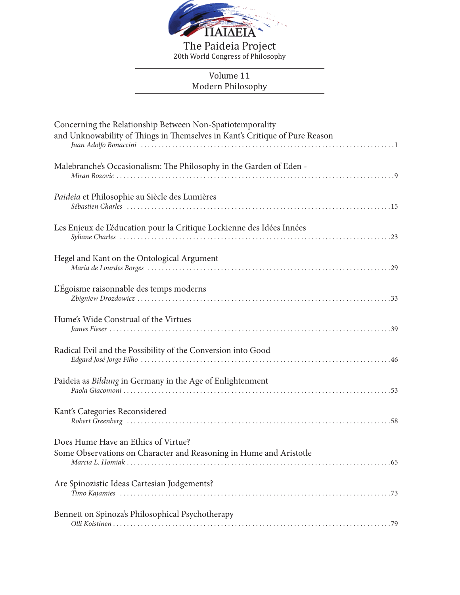

The Paideia Project 20th World Congress of Philosophy

## Volume 11 Modern Philosophy

| Concerning the Relationship Between Non-Spatiotemporality<br>and Unknowability of Things in Themselves in Kant's Critique of Pure Reason |
|------------------------------------------------------------------------------------------------------------------------------------------|
| Malebranche's Occasionalism: The Philosophy in the Garden of Eden -                                                                      |
| Paideia et Philosophie au Siècle des Lumières                                                                                            |
| Les Enjeux de L'éducation pour la Critique Lockienne des Idées Innées                                                                    |
| Hegel and Kant on the Ontological Argument                                                                                               |
| L'Égoisme raisonnable des temps moderns                                                                                                  |
| Hume's Wide Construal of the Virtues                                                                                                     |
| Radical Evil and the Possibility of the Conversion into Good                                                                             |
| Paideia as Bildung in Germany in the Age of Enlightenment                                                                                |
| Kant's Categories Reconsidered                                                                                                           |
| Does Hume Have an Ethics of Virtue?<br>Some Observations on Character and Reasoning in Hume and Aristotle                                |
| Are Spinozistic Ideas Cartesian Judgements?                                                                                              |
| Bennett on Spinoza's Philosophical Psychotherapy                                                                                         |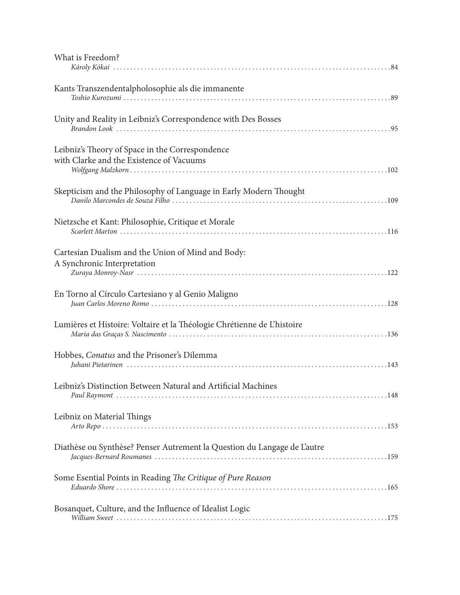| What is Freedom?                                                                            |
|---------------------------------------------------------------------------------------------|
| Kants Transzendentalpholosophie als die immanente                                           |
| Unity and Reality in Leibniz's Correspondence with Des Bosses                               |
| Leibniz's Theory of Space in the Correspondence<br>with Clarke and the Existence of Vacuums |
| Skepticism and the Philosophy of Language in Early Modern Thought                           |
| Nietzsche et Kant: Philosophie, Critique et Morale                                          |
| Cartesian Dualism and the Union of Mind and Body:<br>A Synchronic Interpretation            |
| En Torno al Círculo Cartesiano y al Genio Maligno                                           |
| Lumières et Histoire: Voltaire et la Théologie Chrétienne de L'histoire                     |
| Hobbes, <i>Conatus</i> and the Prisoner's Dilemma                                           |
| Leibniz's Distinction Between Natural and Artificial Machines                               |
| Leibniz on Material Things                                                                  |
| Diathèse ou Synthèse? Penser Autrement la Question du Langage de L'autre                    |
| Some Esential Points in Reading The Critique of Pure Reason                                 |
| Bosanquet, Culture, and the Influence of Idealist Logic                                     |